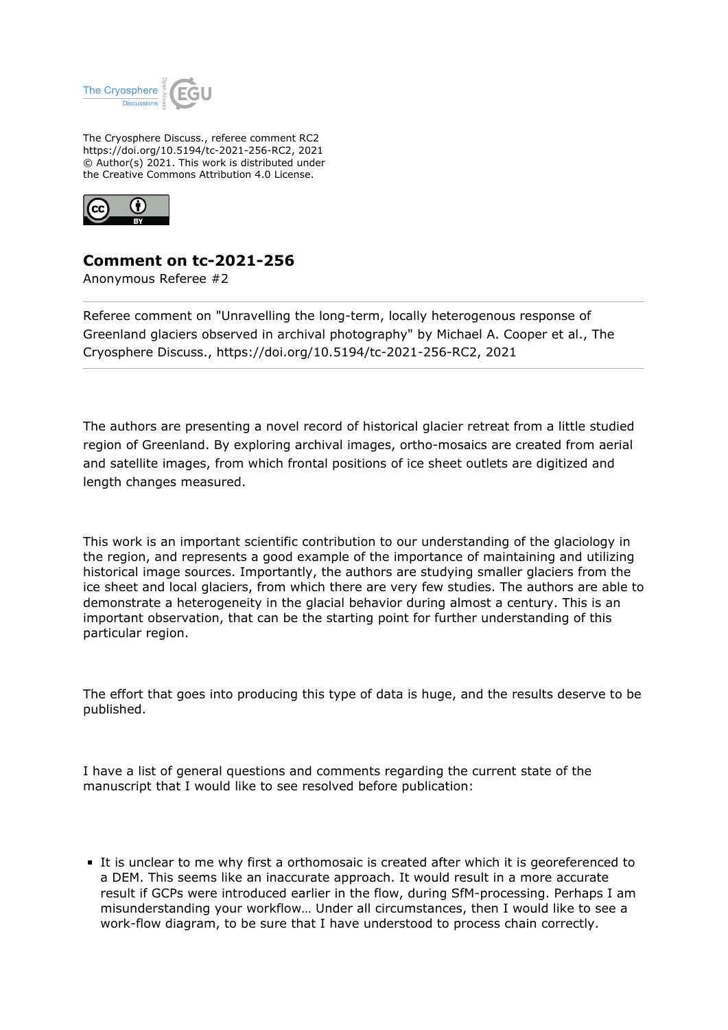

The Cryosphere Discuss., referee comment RC2 https://doi.org/10.5194/tc-2021-256-RC2, 2021 © Author(s) 2021. This work is distributed under the Creative Commons Attribution 4.0 License.



## **Comment on tc-2021-256**

Anonymous Referee #2

Referee comment on "Unravelling the long-term, locally heterogenous response of Greenland glaciers observed in archival photography" by Michael A. Cooper et al., The Cryosphere Discuss., https://doi.org/10.5194/tc-2021-256-RC2, 2021

The authors are presenting a novel record of historical glacier retreat from a little studied region of Greenland. By exploring archival images, ortho-mosaics are created from aerial and satellite images, from which frontal positions of ice sheet outlets are digitized and length changes measured.

This work is an important scientific contribution to our understanding of the glaciology in the region, and represents a good example of the importance of maintaining and utilizing historical image sources. Importantly, the authors are studying smaller glaciers from the ice sheet and local glaciers, from which there are very few studies. The authors are able to demonstrate a heterogeneity in the glacial behavior during almost a century. This is an important observation, that can be the starting point for further understanding of this particular region.

The effort that goes into producing this type of data is huge, and the results deserve to be published.

I have a list of general questions and comments regarding the current state of the manuscript that I would like to see resolved before publication:

It is unclear to me why first a orthomosaic is created after which it is georeferenced to a DEM. This seems like an inaccurate approach. It would result in a more accurate result if GCPs were introduced earlier in the flow, during SfM-processing. Perhaps I am misunderstanding your workflow… Under all circumstances, then I would like to see a work-flow diagram, to be sure that I have understood to process chain correctly.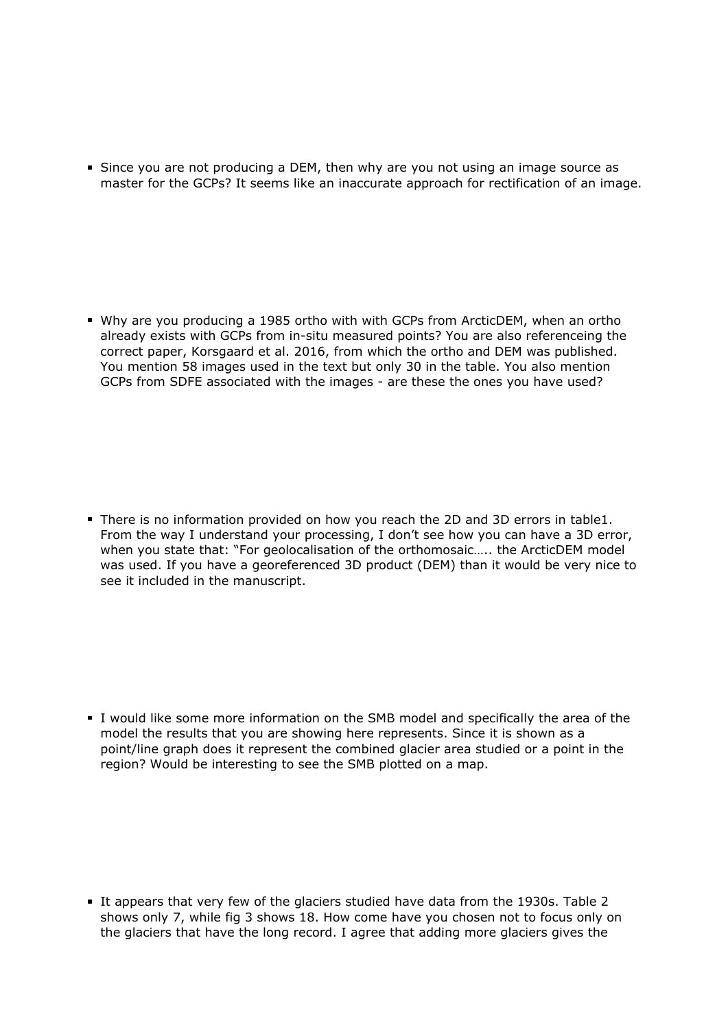Since you are not producing a DEM, then why are you not using an image source as master for the GCPs? It seems like an inaccurate approach for rectification of an image.

Why are you producing a 1985 ortho with with GCPs from ArcticDEM, when an ortho already exists with GCPs from in-situ measured points? You are also referenceing the correct paper, Korsgaard et al. 2016, from which the ortho and DEM was published. You mention 58 images used in the text but only 30 in the table. You also mention GCPs from SDFE associated with the images - are these the ones you have used?

There is no information provided on how you reach the 2D and 3D errors in table1. From the way I understand your processing, I don't see how you can have a 3D error, when you state that: "For geolocalisation of the orthomosaic….. the ArcticDEM model was used. If you have a georeferenced 3D product (DEM) than it would be very nice to see it included in the manuscript.

I would like some more information on the SMB model and specifically the area of the model the results that you are showing here represents. Since it is shown as a point/line graph does it represent the combined glacier area studied or a point in the region? Would be interesting to see the SMB plotted on a map.

It appears that very few of the glaciers studied have data from the 1930s. Table 2 shows only 7, while fig 3 shows 18. How come have you chosen not to focus only on the glaciers that have the long record. I agree that adding more glaciers gives the